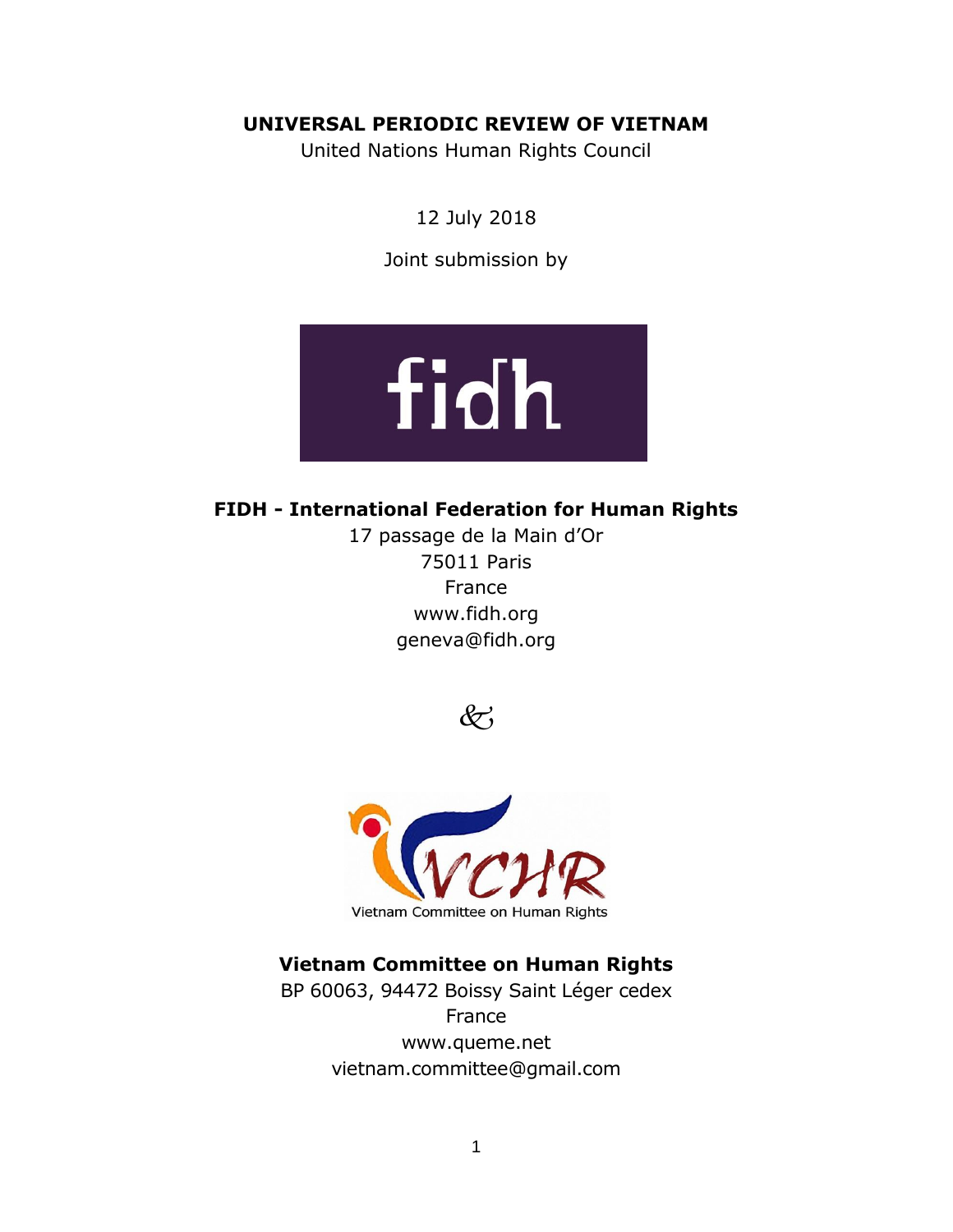## **UNIVERSAL PERIODIC REVIEW OF VIETNAM**

United Nations Human Rights Council

12 July 2018

Joint submission by



# **FIDH - International Federation for Human Rights**

17 passage de la Main d'Or 75011 Paris France [www.fidh.org](http://www.fidh.org/) geneva@fidh.org





# **Vietnam Committee on Human Rights**

BP 60063, 94472 Boissy Saint Léger cedex France [www.queme.net](http://www.queme.net/) [vietnam.committee@gmail.com](mailto:vietnam.committee@gmail.com)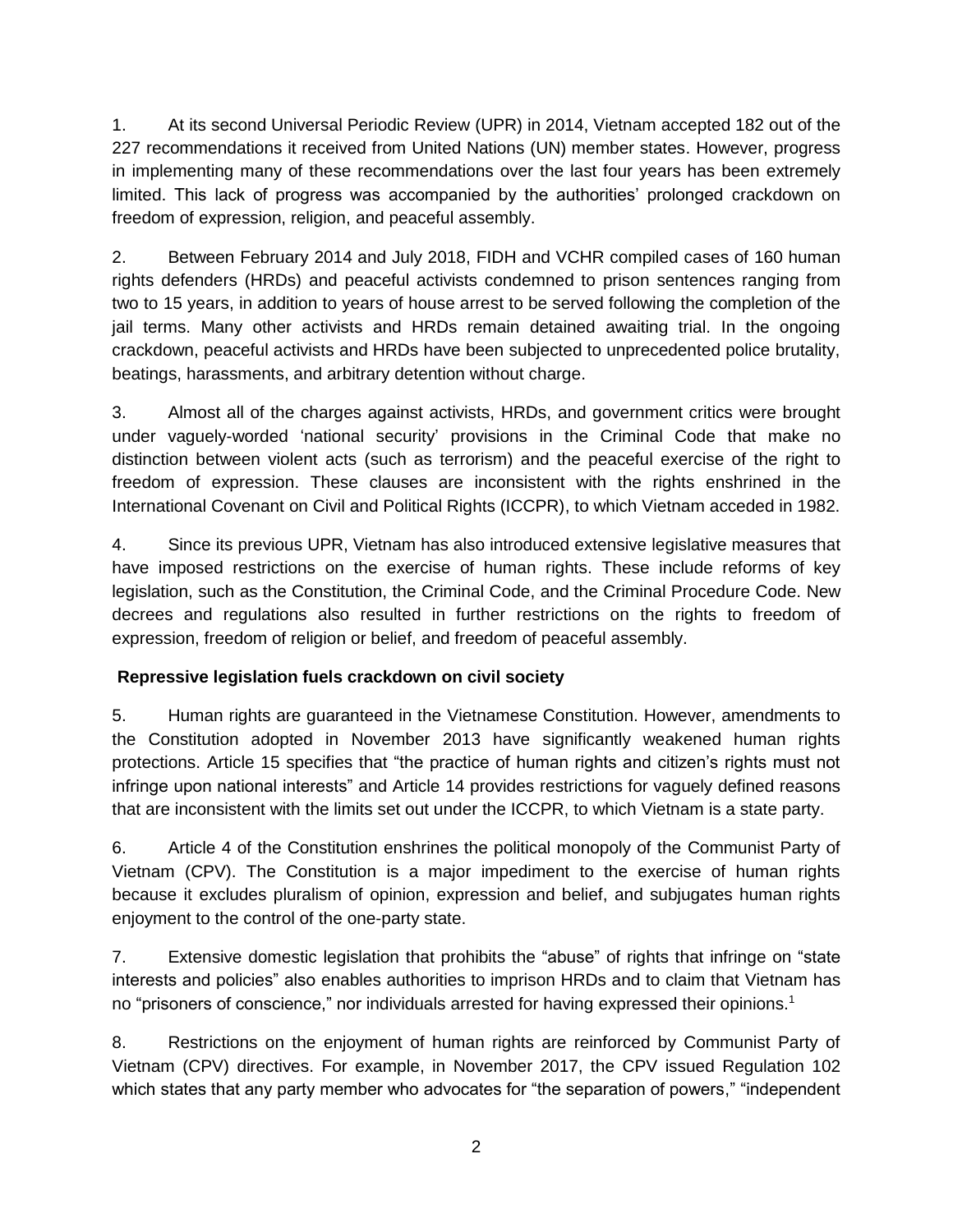1. At its second Universal Periodic Review (UPR) in 2014, Vietnam accepted 182 out of the 227 recommendations it received from United Nations (UN) member states. However, progress in implementing many of these recommendations over the last four years has been extremely limited. This lack of progress was accompanied by the authorities' prolonged crackdown on freedom of expression, religion, and peaceful assembly.

2. Between February 2014 and July 2018, FIDH and VCHR compiled cases of 160 human rights defenders (HRDs) and peaceful activists condemned to prison sentences ranging from two to 15 years, in addition to years of house arrest to be served following the completion of the jail terms. Many other activists and HRDs remain detained awaiting trial. In the ongoing crackdown, peaceful activists and HRDs have been subjected to unprecedented police brutality, beatings, harassments, and arbitrary detention without charge.

3. Almost all of the charges against activists, HRDs, and government critics were brought under vaguely-worded 'national security' provisions in the Criminal Code that make no distinction between violent acts (such as terrorism) and the peaceful exercise of the right to freedom of expression. These clauses are inconsistent with the rights enshrined in the International Covenant on Civil and Political Rights (ICCPR), to which Vietnam acceded in 1982.

4. Since its previous UPR, Vietnam has also introduced extensive legislative measures that have imposed restrictions on the exercise of human rights. These include reforms of key legislation, such as the Constitution, the Criminal Code, and the Criminal Procedure Code. New decrees and regulations also resulted in further restrictions on the rights to freedom of expression, freedom of religion or belief, and freedom of peaceful assembly.

## **Repressive legislation fuels crackdown on civil society**

5. Human rights are guaranteed in the Vietnamese Constitution. However, amendments to the Constitution adopted in November 2013 have significantly weakened human rights protections. Article 15 specifies that "the practice of human rights and citizen's rights must not infringe upon national interests" and Article 14 provides restrictions for vaguely defined reasons that are inconsistent with the limits set out under the ICCPR, to which Vietnam is a state party.

6. Article 4 of the Constitution enshrines the political monopoly of the Communist Party of Vietnam (CPV). The Constitution is a major impediment to the exercise of human rights because it excludes pluralism of opinion, expression and belief, and subjugates human rights enjoyment to the control of the one-party state.

7. Extensive domestic legislation that prohibits the "abuse" of rights that infringe on "state interests and policies" also enables authorities to imprison HRDs and to claim that Vietnam has no "prisoners of conscience," nor individuals arrested for having expressed their opinions.<sup>1</sup>

8. Restrictions on the enjoyment of human rights are reinforced by Communist Party of Vietnam (CPV) directives. For example, in November 2017, the CPV issued Regulation 102 which states that any party member who advocates for "the separation of powers," "independent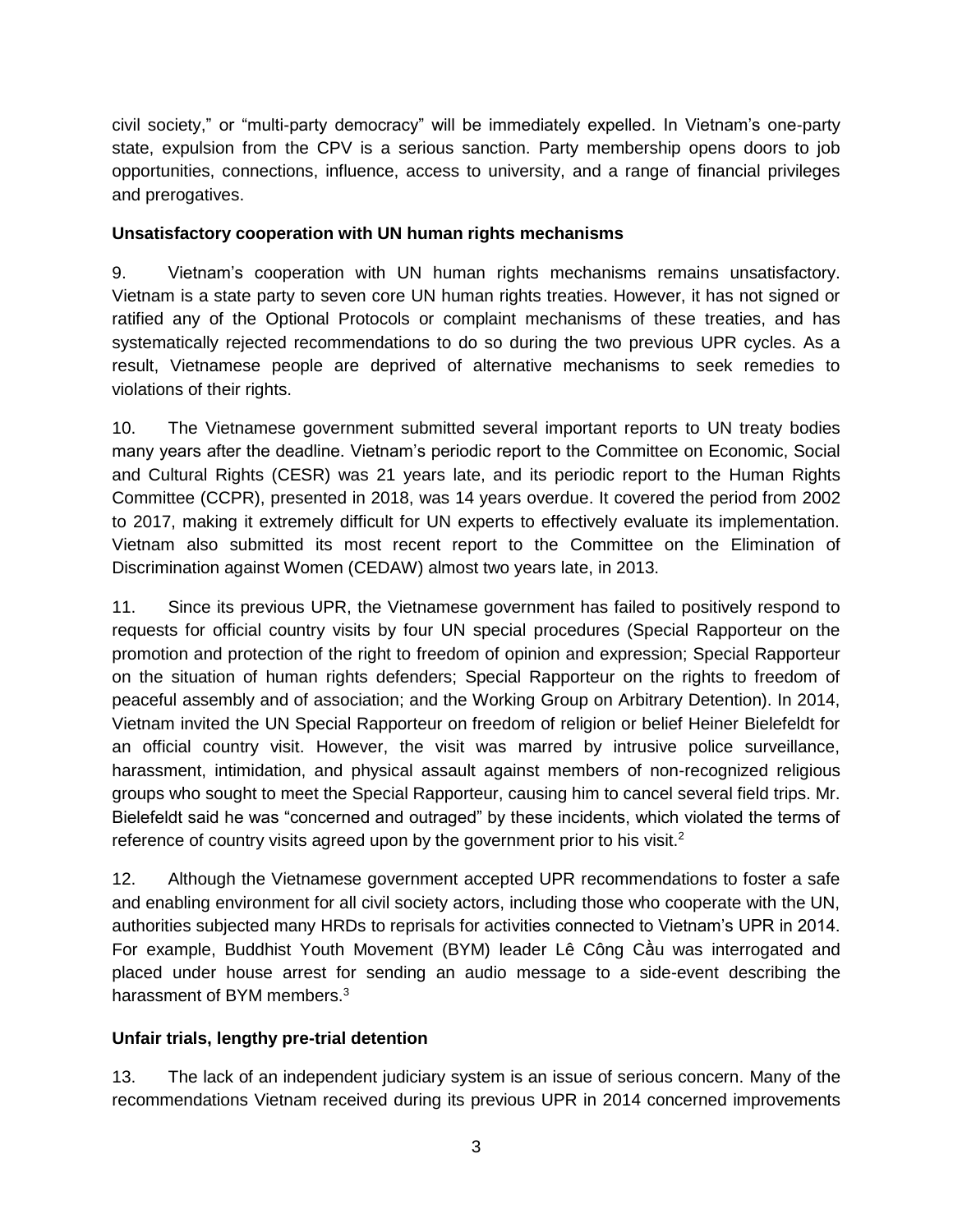civil society," or "multi-party democracy" will be immediately expelled. In Vietnam's one-party state, expulsion from the CPV is a serious sanction. Party membership opens doors to job opportunities, connections, influence, access to university, and a range of financial privileges and prerogatives.

## **Unsatisfactory cooperation with UN human rights mechanisms**

9. Vietnam's cooperation with UN human rights mechanisms remains unsatisfactory. Vietnam is a state party to seven core UN human rights treaties. However, it has not signed or ratified any of the Optional Protocols or complaint mechanisms of these treaties, and has systematically rejected recommendations to do so during the two previous UPR cycles. As a result, Vietnamese people are deprived of alternative mechanisms to seek remedies to violations of their rights.

10. The Vietnamese government submitted several important reports to UN treaty bodies many years after the deadline. Vietnam's periodic report to the Committee on Economic, Social and Cultural Rights (CESR) was 21 years late, and its periodic report to the Human Rights Committee (CCPR), presented in 2018, was 14 years overdue. It covered the period from 2002 to 2017, making it extremely difficult for UN experts to effectively evaluate its implementation. Vietnam also submitted its most recent report to the Committee on the Elimination of Discrimination against Women (CEDAW) almost two years late, in 2013.

11. Since its previous UPR, the Vietnamese government has failed to positively respond to requests for official country visits by four UN special procedures (Special Rapporteur on the promotion and protection of the right to freedom of opinion and expression; Special Rapporteur on the situation of human rights defenders; Special Rapporteur on the rights to freedom of peaceful assembly and of association; and the Working Group on Arbitrary Detention). In 2014, Vietnam invited the UN Special Rapporteur on freedom of religion or belief Heiner Bielefeldt for an official country visit. However, the visit was marred by intrusive police surveillance, harassment, intimidation, and physical assault against members of non-recognized religious groups who sought to meet the Special Rapporteur, causing him to cancel several field trips. Mr. Bielefeldt said he was "concerned and outraged" by these incidents, which violated the terms of reference of country visits agreed upon by the government prior to his visit.<sup>2</sup>

12. Although the Vietnamese government accepted UPR recommendations to foster a safe and enabling environment for all civil society actors, including those who cooperate with the UN, authorities subjected many HRDs to reprisals for activities connected to Vietnam's UPR in 2014. For example, Buddhist Youth Movement (BYM) leader Lê Công Cầu was interrogated and placed under house arrest for sending an audio message to a side-event describing the harassment of BYM members.<sup>3</sup>

## **Unfair trials, lengthy pre-trial detention**

13. The lack of an independent judiciary system is an issue of serious concern. Many of the recommendations Vietnam received during its previous UPR in 2014 concerned improvements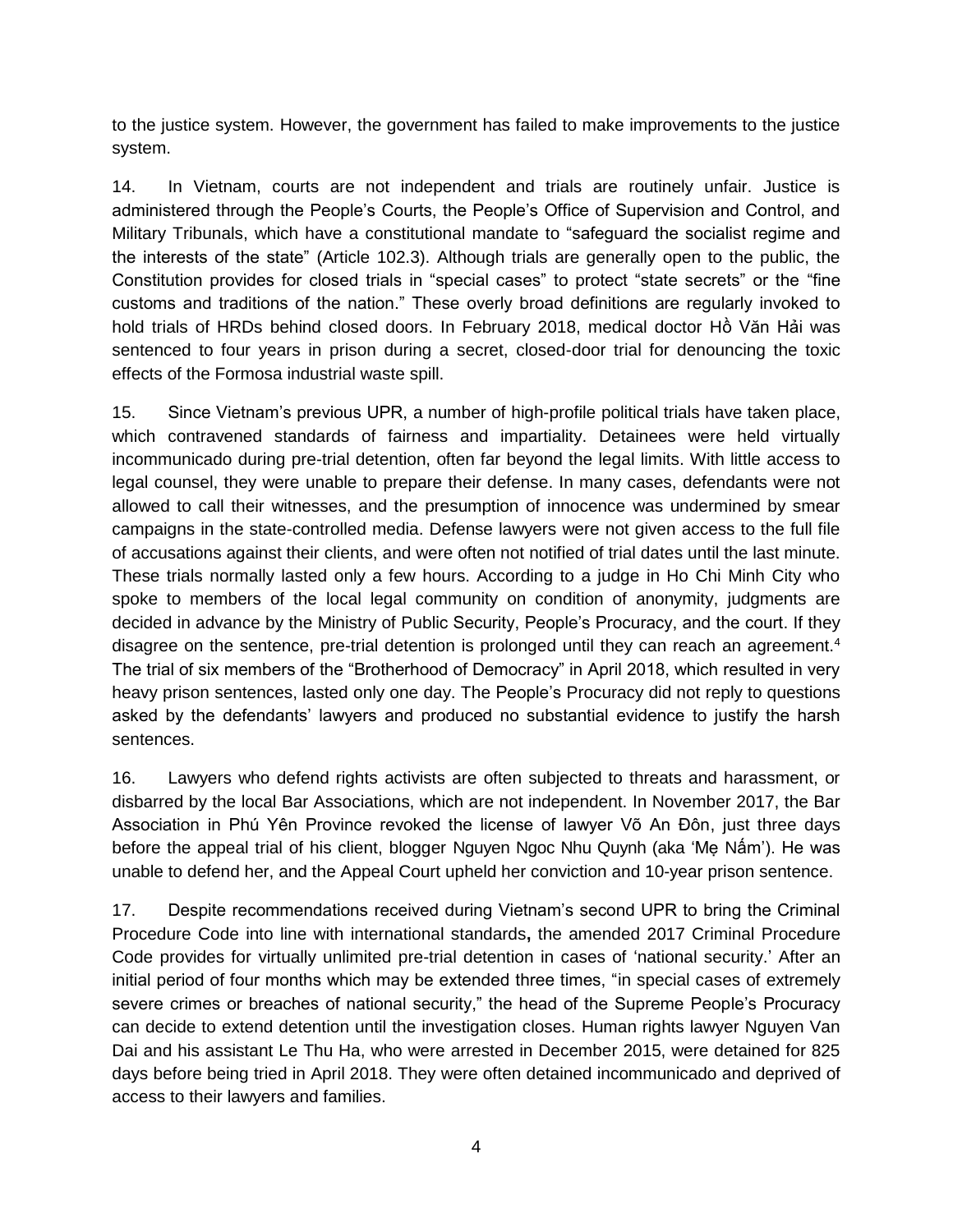to the justice system. However, the government has failed to make improvements to the justice system.

14. In Vietnam, courts are not independent and trials are routinely unfair. Justice is administered through the People's Courts, the People's Office of Supervision and Control, and Military Tribunals, which have a constitutional mandate to "safeguard the socialist regime and the interests of the state" (Article 102.3). Although trials are generally open to the public, the Constitution provides for closed trials in "special cases" to protect "state secrets" or the "fine customs and traditions of the nation." These overly broad definitions are regularly invoked to hold trials of HRDs behind closed doors. In February 2018, medical doctor Hồ Văn Hải was sentenced to four years in prison during a secret, closed-door trial for denouncing the toxic effects of the Formosa industrial waste spill.

15. Since Vietnam's previous UPR, a number of high-profile political trials have taken place, which contravened standards of fairness and impartiality. Detainees were held virtually incommunicado during pre-trial detention, often far beyond the legal limits. With little access to legal counsel, they were unable to prepare their defense. In many cases, defendants were not allowed to call their witnesses, and the presumption of innocence was undermined by smear campaigns in the state-controlled media. Defense lawyers were not given access to the full file of accusations against their clients, and were often not notified of trial dates until the last minute. These trials normally lasted only a few hours. According to a judge in Ho Chi Minh City who spoke to members of the local legal community on condition of anonymity, judgments are decided in advance by the Ministry of Public Security, People's Procuracy, and the court. If they disagree on the sentence, pre-trial detention is prolonged until they can reach an agreement.<sup>4</sup> The trial of six members of the "Brotherhood of Democracy" in April 2018, which resulted in very heavy prison sentences, lasted only one day. The People's Procuracy did not reply to questions asked by the defendants' lawyers and produced no substantial evidence to justify the harsh sentences.

16. Lawyers who defend rights activists are often subjected to threats and harassment, or disbarred by the local Bar Associations, which are not independent. In November 2017, the Bar Association in Phú Yên Province revoked the license of lawyer Võ An Đôn, just three days before the appeal trial of his client, blogger Nguyen Ngoc Nhu Quynh (aka 'Mẹ Nấm'). He was unable to defend her, and the Appeal Court upheld her conviction and 10-year prison sentence.

17. Despite recommendations received during Vietnam's second UPR to bring the Criminal Procedure Code into line with international standards**,** the amended 2017 Criminal Procedure Code provides for virtually unlimited pre-trial detention in cases of 'national security.' After an initial period of four months which may be extended three times, "in special cases of extremely severe crimes or breaches of national security," the head of the Supreme People's Procuracy can decide to extend detention until the investigation closes. Human rights lawyer Nguyen Van Dai and his assistant Le Thu Ha, who were arrested in December 2015, were detained for 825 days before being tried in April 2018. They were often detained incommunicado and deprived of access to their lawyers and families.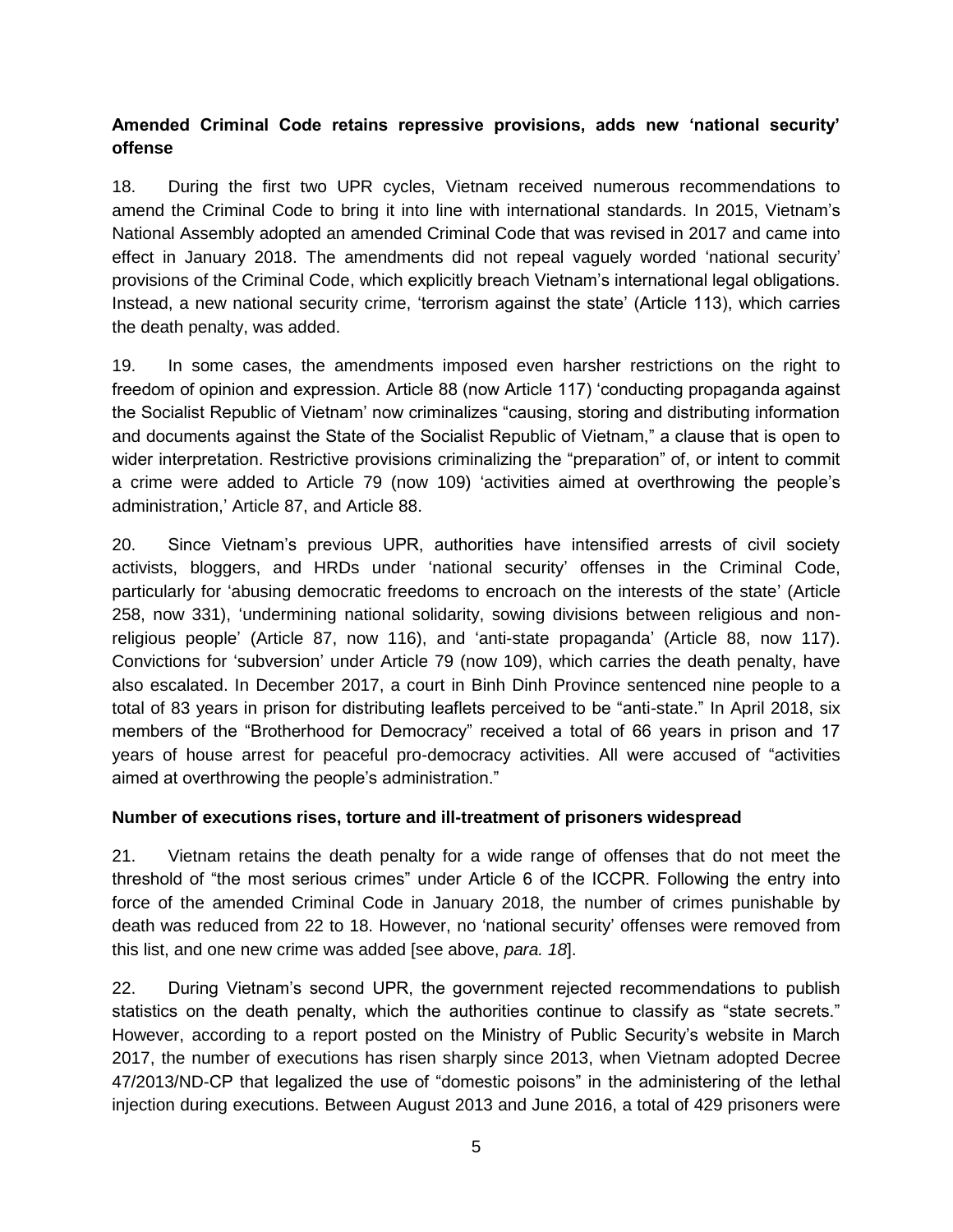## **Amended Criminal Code retains repressive provisions, adds new 'national security' offense**

18. During the first two UPR cycles, Vietnam received numerous recommendations to amend the Criminal Code to bring it into line with international standards. In 2015, Vietnam's National Assembly adopted an amended Criminal Code that was revised in 2017 and came into effect in January 2018. The amendments did not repeal vaguely worded 'national security' provisions of the Criminal Code, which explicitly breach Vietnam's international legal obligations. Instead, a new national security crime, 'terrorism against the state' (Article 113), which carries the death penalty, was added.

19. In some cases, the amendments imposed even harsher restrictions on the right to freedom of opinion and expression. Article 88 (now Article 117) 'conducting propaganda against the Socialist Republic of Vietnam' now criminalizes "causing, storing and distributing information and documents against the State of the Socialist Republic of Vietnam," a clause that is open to wider interpretation. Restrictive provisions criminalizing the "preparation" of, or intent to commit a crime were added to Article 79 (now 109) 'activities aimed at overthrowing the people's administration,' Article 87, and Article 88.

20. Since Vietnam's previous UPR, authorities have intensified arrests of civil society activists, bloggers, and HRDs under 'national security' offenses in the Criminal Code, particularly for 'abusing democratic freedoms to encroach on the interests of the state' (Article 258, now 331), 'undermining national solidarity, sowing divisions between religious and nonreligious people' (Article 87, now 116), and 'anti-state propaganda' (Article 88, now 117). Convictions for 'subversion' under Article 79 (now 109), which carries the death penalty, have also escalated. In December 2017, a court in Binh Dinh Province sentenced nine people to a total of 83 years in prison for distributing leaflets perceived to be "anti-state." In April 2018, six members of the "Brotherhood for Democracy" received a total of 66 years in prison and 17 years of house arrest for peaceful pro-democracy activities. All were accused of "activities aimed at overthrowing the people's administration."

#### **Number of executions rises, torture and ill-treatment of prisoners widespread**

21. Vietnam retains the death penalty for a wide range of offenses that do not meet the threshold of "the most serious crimes" under Article 6 of the ICCPR. Following the entry into force of the amended Criminal Code in January 2018, the number of crimes punishable by death was reduced from 22 to 18. However, no 'national security' offenses were removed from this list, and one new crime was added [see above, *para. 18*].

22. During Vietnam's second UPR, the government rejected recommendations to publish statistics on the death penalty, which the authorities continue to classify as "state secrets." However, according to a report posted on the Ministry of Public Security's website in March 2017, the number of executions has risen sharply since 2013, when Vietnam adopted Decree 47/2013/ND-CP that legalized the use of "domestic poisons" in the administering of the lethal injection during executions. Between August 2013 and June 2016, a total of 429 prisoners were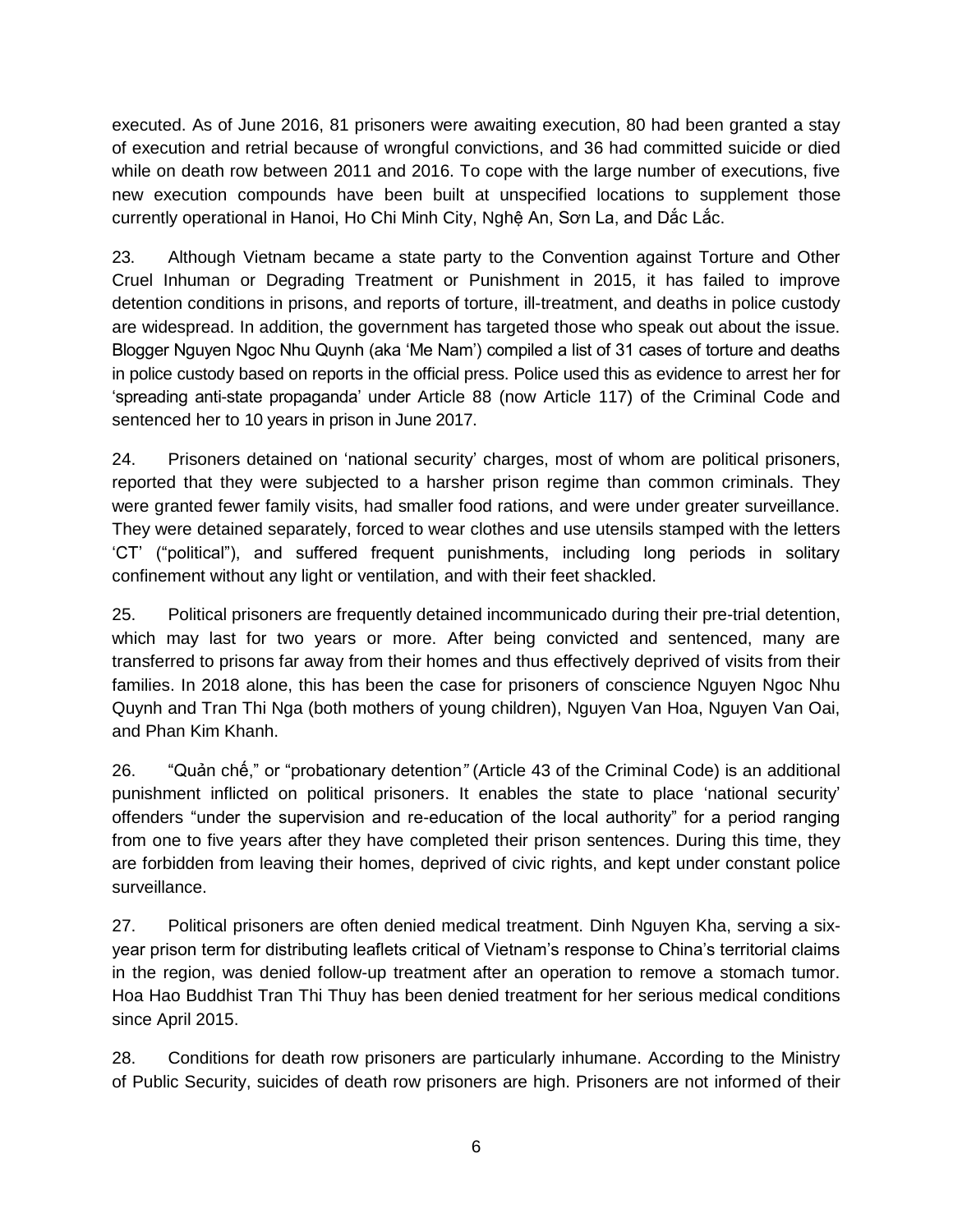executed. As of June 2016, 81 prisoners were awaiting execution, 80 had been granted a stay of execution and retrial because of wrongful convictions, and 36 had committed suicide or died while on death row between 2011 and 2016. To cope with the large number of executions, five new execution compounds have been built at unspecified locations to supplement those currently operational in Hanoi, Ho Chi Minh City, Nghệ An, Sơn La, and Dắc Lắc.

23. Although Vietnam became a state party to the Convention against Torture and Other Cruel Inhuman or Degrading Treatment or Punishment in 2015, it has failed to improve detention conditions in prisons, and reports of torture, ill-treatment, and deaths in police custody are widespread. In addition, the government has targeted those who speak out about the issue. Blogger Nguyen Ngoc Nhu Quynh (aka 'Me Nam') compiled a list of 31 cases of torture and deaths in police custody based on reports in the official press. Police used this as evidence to arrest her for 'spreading anti-state propaganda' under Article 88 (now Article 117) of the Criminal Code and sentenced her to 10 years in prison in June 2017.

24. Prisoners detained on 'national security' charges, most of whom are political prisoners, reported that they were subjected to a harsher prison regime than common criminals. They were granted fewer family visits, had smaller food rations, and were under greater surveillance. They were detained separately, forced to wear clothes and use utensils stamped with the letters 'CT' ("political"), and suffered frequent punishments, including long periods in solitary confinement without any light or ventilation, and with their feet shackled.

25. Political prisoners are frequently detained incommunicado during their pre-trial detention, which may last for two years or more. After being convicted and sentenced, many are transferred to prisons far away from their homes and thus effectively deprived of visits from their families. In 2018 alone, this has been the case for prisoners of conscience Nguyen Ngoc Nhu Quynh and Tran Thi Nga (both mothers of young children), Nguyen Van Hoa, Nguyen Van Oai, and Phan Kim Khanh.

26. "Quản chế," or "probationary detention*"* (Article 43 of the Criminal Code) is an additional punishment inflicted on political prisoners. It enables the state to place 'national security' offenders "under the supervision and re-education of the local authority" for a period ranging from one to five years after they have completed their prison sentences. During this time, they are forbidden from leaving their homes, deprived of civic rights, and kept under constant police surveillance.

27. Political prisoners are often denied medical treatment. Dinh Nguyen Kha, serving a sixyear prison term for distributing leaflets critical of Vietnam's response to China's territorial claims in the region, was denied follow-up treatment after an operation to remove a stomach tumor. Hoa Hao Buddhist Tran Thi Thuy has been denied treatment for her serious medical conditions since April 2015.

28. Conditions for death row prisoners are particularly inhumane. According to the Ministry of Public Security, suicides of death row prisoners are high. Prisoners are not informed of their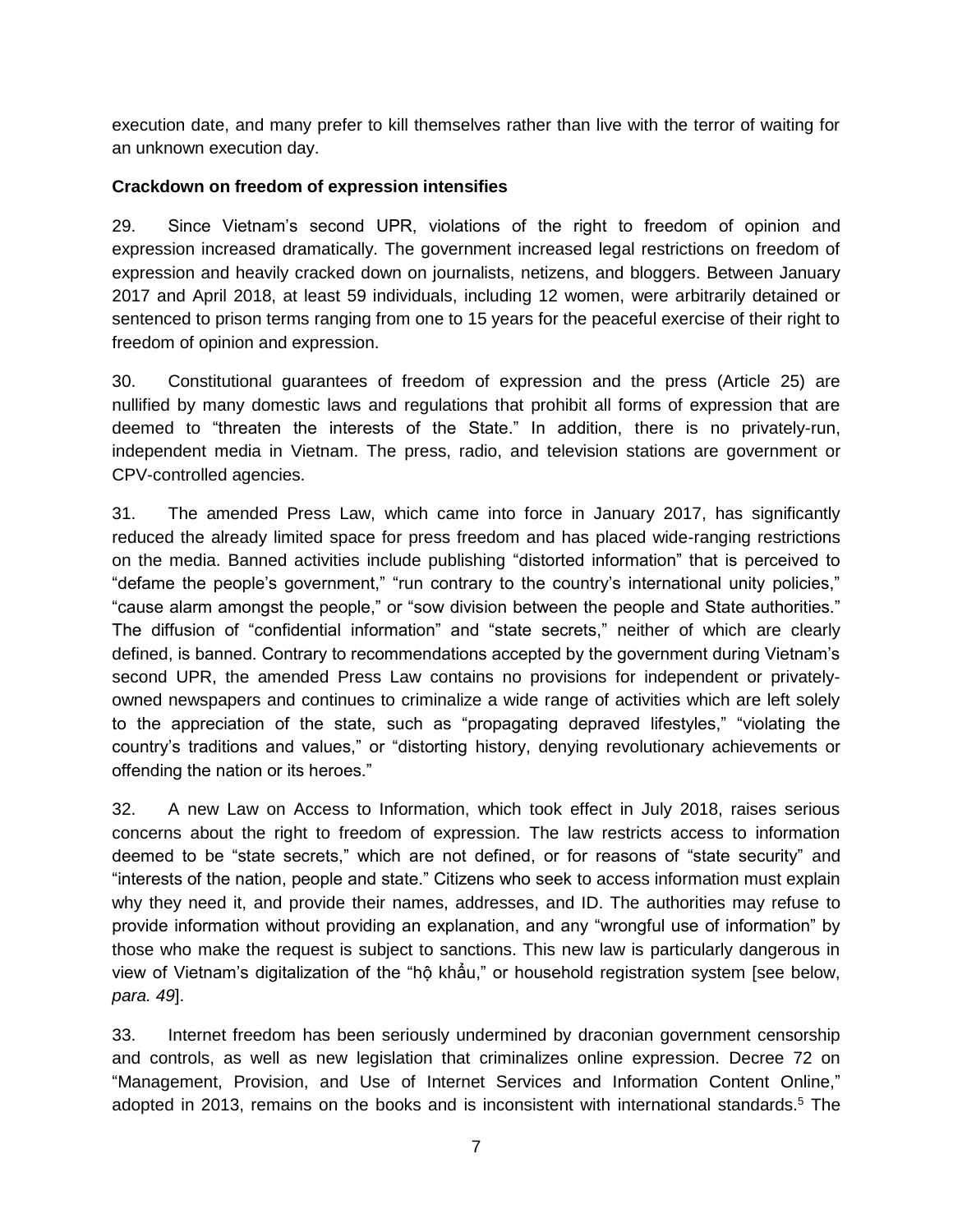execution date, and many prefer to kill themselves rather than live with the terror of waiting for an unknown execution day.

### **Crackdown on freedom of expression intensifies**

29. Since Vietnam's second UPR, violations of the right to freedom of opinion and expression increased dramatically. The government increased legal restrictions on freedom of expression and heavily cracked down on journalists, netizens, and bloggers. Between January 2017 and April 2018, at least 59 individuals, including 12 women, were arbitrarily detained or sentenced to prison terms ranging from one to 15 years for the peaceful exercise of their right to freedom of opinion and expression.

30. Constitutional guarantees of freedom of expression and the press (Article 25) are nullified by many domestic laws and regulations that prohibit all forms of expression that are deemed to "threaten the interests of the State." In addition, there is no privately-run, independent media in Vietnam. The press, radio, and television stations are government or CPV-controlled agencies.

31. The amended Press Law, which came into force in January 2017, has significantly reduced the already limited space for press freedom and has placed wide-ranging restrictions on the media. Banned activities include publishing "distorted information" that is perceived to "defame the people's government," "run contrary to the country's international unity policies," "cause alarm amongst the people," or "sow division between the people and State authorities." The diffusion of "confidential information" and "state secrets," neither of which are clearly defined, is banned. Contrary to recommendations accepted by the government during Vietnam's second UPR, the amended Press Law contains no provisions for independent or privatelyowned newspapers and continues to criminalize a wide range of activities which are left solely to the appreciation of the state, such as "propagating depraved lifestyles," "violating the country's traditions and values," or "distorting history, denying revolutionary achievements or offending the nation or its heroes."

32. A new Law on Access to Information, which took effect in July 2018, raises serious concerns about the right to freedom of expression. The law restricts access to information deemed to be "state secrets," which are not defined, or for reasons of "state security" and "interests of the nation, people and state." Citizens who seek to access information must explain why they need it, and provide their names, addresses, and ID. The authorities may refuse to provide information without providing an explanation, and any "wrongful use of information" by those who make the request is subject to sanctions. This new law is particularly dangerous in view of Vietnam's digitalization of the "hộ khẩu," or household registration system [see below, *para. 49*].

33. Internet freedom has been seriously undermined by draconian government censorship and controls, as well as new legislation that criminalizes online expression. Decree 72 on "Management, Provision, and Use of Internet Services and Information Content Online," adopted in 2013, remains on the books and is inconsistent with international standards.<sup>5</sup> The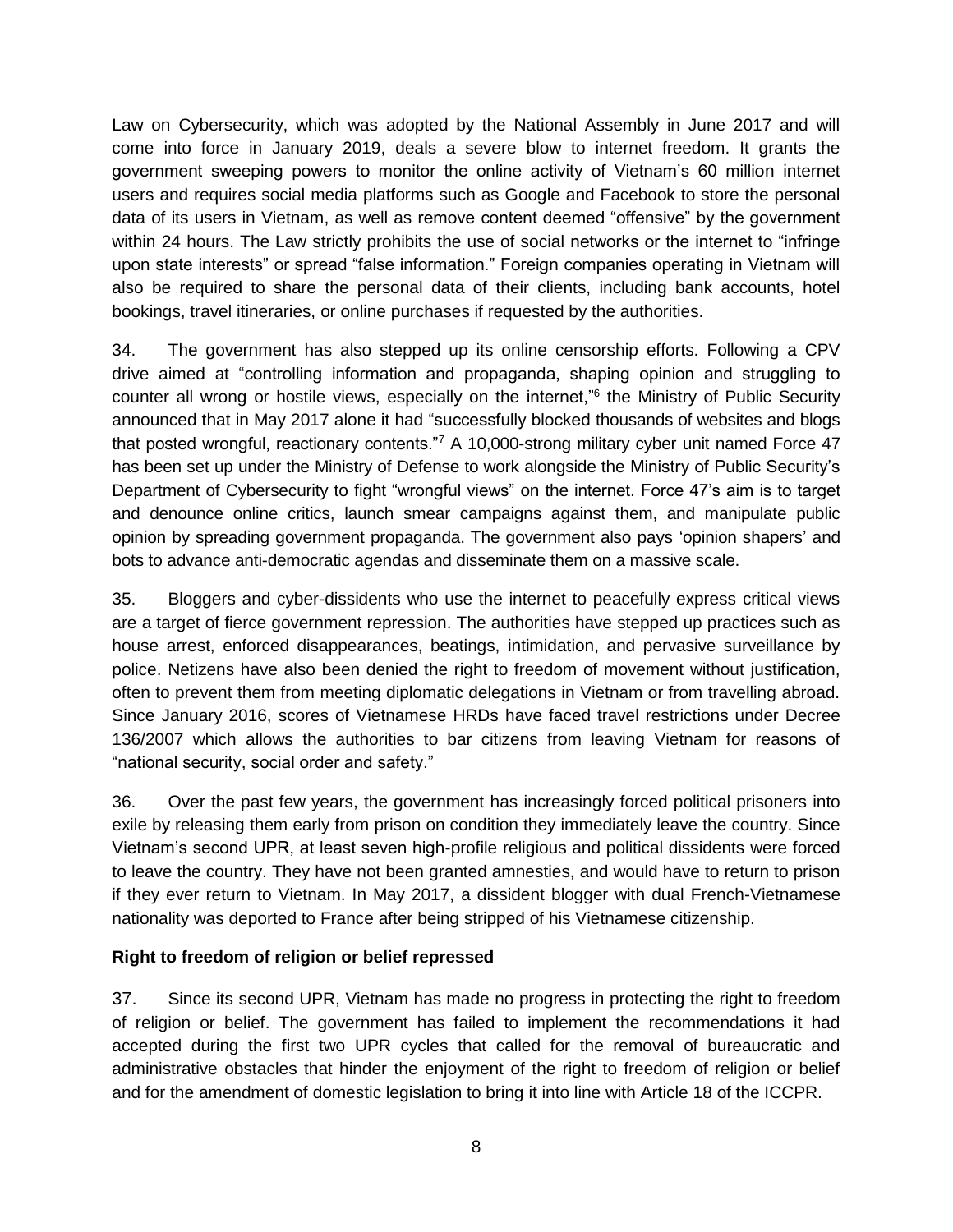Law on Cybersecurity, which was adopted by the National Assembly in June 2017 and will come into force in January 2019, deals a severe blow to internet freedom. It grants the government sweeping powers to monitor the online activity of Vietnam's 60 million internet users and requires social media platforms such as Google and Facebook to store the personal data of its users in Vietnam, as well as remove content deemed "offensive" by the government within 24 hours. The Law strictly prohibits the use of social networks or the internet to "infringe" upon state interests" or spread "false information." Foreign companies operating in Vietnam will also be required to share the personal data of their clients, including bank accounts, hotel bookings, travel itineraries, or online purchases if requested by the authorities.

34. The government has also stepped up its online censorship efforts. Following a CPV drive aimed at "controlling information and propaganda, shaping opinion and struggling to counter all wrong or hostile views, especially on the internet,"<sup>6</sup> the Ministry of Public Security announced that in May 2017 alone it had "successfully blocked thousands of websites and blogs that posted wrongful, reactionary contents."<sup>7</sup> A 10,000-strong military cyber unit named Force 47 has been set up under the Ministry of Defense to work alongside the Ministry of Public Security's Department of Cybersecurity to fight "wrongful views" on the internet. Force 47's aim is to target and denounce online critics, launch smear campaigns against them, and manipulate public opinion by spreading government propaganda. The government also pays 'opinion shapers' and bots to advance anti-democratic agendas and disseminate them on a massive scale.

35. Bloggers and cyber-dissidents who use the internet to peacefully express critical views are a target of fierce government repression. The authorities have stepped up practices such as house arrest, enforced disappearances, beatings, intimidation, and pervasive surveillance by police. Netizens have also been denied the right to freedom of movement without justification, often to prevent them from meeting diplomatic delegations in Vietnam or from travelling abroad. Since January 2016, scores of Vietnamese HRDs have faced travel restrictions under Decree 136/2007 which allows the authorities to bar citizens from leaving Vietnam for reasons of "national security, social order and safety."

36. Over the past few years, the government has increasingly forced political prisoners into exile by releasing them early from prison on condition they immediately leave the country. Since Vietnam's second UPR, at least seven high-profile religious and political dissidents were forced to leave the country. They have not been granted amnesties, and would have to return to prison if they ever return to Vietnam. In May 2017, a dissident blogger with dual French-Vietnamese nationality was deported to France after being stripped of his Vietnamese citizenship.

## **Right to freedom of religion or belief repressed**

37. Since its second UPR, Vietnam has made no progress in protecting the right to freedom of religion or belief. The government has failed to implement the recommendations it had accepted during the first two UPR cycles that called for the removal of bureaucratic and administrative obstacles that hinder the enjoyment of the right to freedom of religion or belief and for the amendment of domestic legislation to bring it into line with Article 18 of the ICCPR.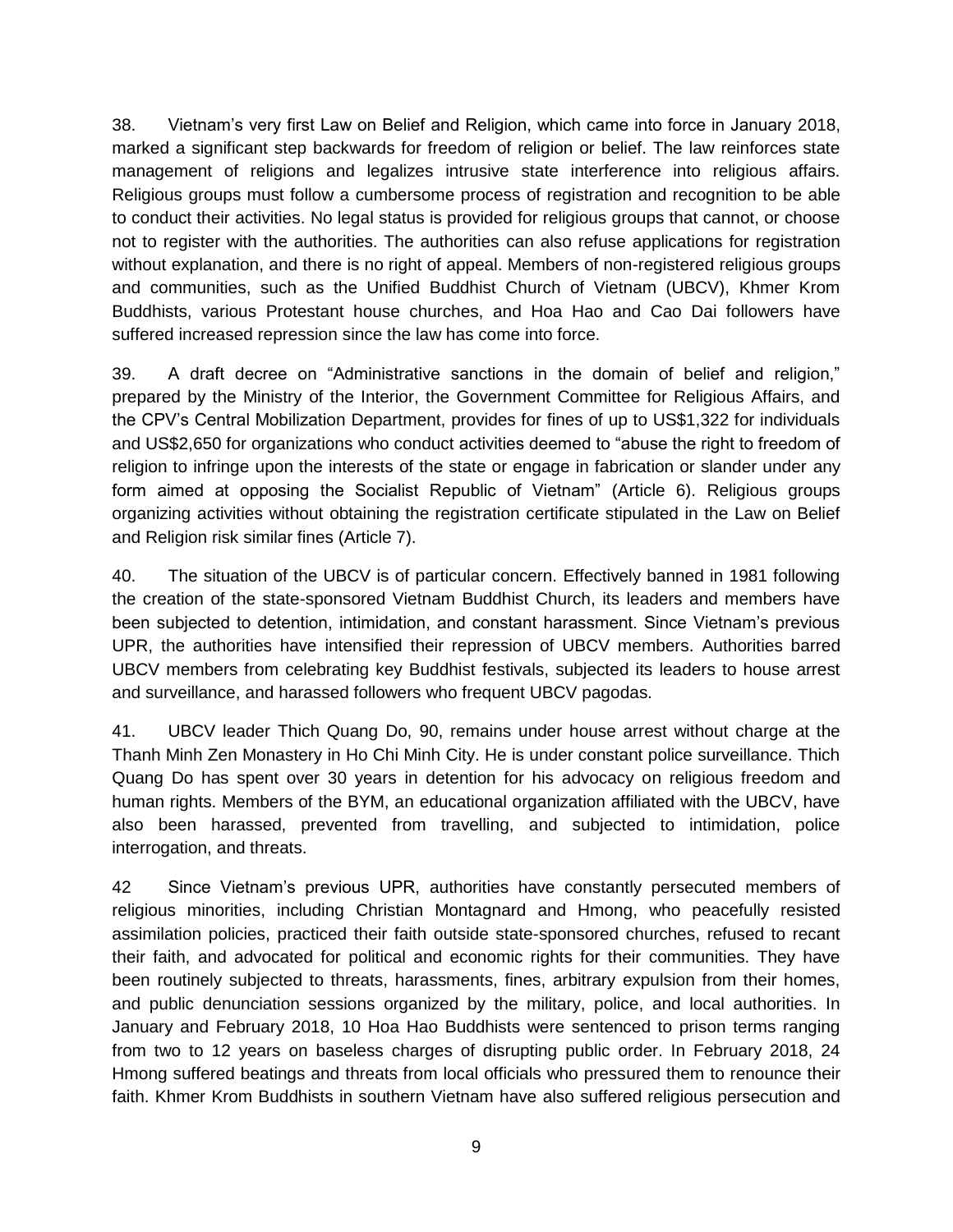38. Vietnam's very first Law on Belief and Religion, which came into force in January 2018, marked a significant step backwards for freedom of religion or belief. The law reinforces state management of religions and legalizes intrusive state interference into religious affairs. Religious groups must follow a cumbersome process of registration and recognition to be able to conduct their activities. No legal status is provided for religious groups that cannot, or choose not to register with the authorities. The authorities can also refuse applications for registration without explanation, and there is no right of appeal. Members of non-registered religious groups and communities, such as the Unified Buddhist Church of Vietnam (UBCV), Khmer Krom Buddhists, various Protestant house churches, and Hoa Hao and Cao Dai followers have suffered increased repression since the law has come into force.

39. A draft decree on "Administrative sanctions in the domain of belief and religion," prepared by the Ministry of the Interior, the Government Committee for Religious Affairs, and the CPV's Central Mobilization Department, provides for fines of up to US\$1,322 for individuals and US\$2,650 for organizations who conduct activities deemed to "abuse the right to freedom of religion to infringe upon the interests of the state or engage in fabrication or slander under any form aimed at opposing the Socialist Republic of Vietnam" (Article 6). Religious groups organizing activities without obtaining the registration certificate stipulated in the Law on Belief and Religion risk similar fines (Article 7).

40. The situation of the UBCV is of particular concern. Effectively banned in 1981 following the creation of the state-sponsored Vietnam Buddhist Church, its leaders and members have been subjected to detention, intimidation, and constant harassment. Since Vietnam's previous UPR, the authorities have intensified their repression of UBCV members. Authorities barred UBCV members from celebrating key Buddhist festivals, subjected its leaders to house arrest and surveillance, and harassed followers who frequent UBCV pagodas.

41. UBCV leader Thich Quang Do, 90, remains under house arrest without charge at the Thanh Minh Zen Monastery in Ho Chi Minh City. He is under constant police surveillance. Thich Quang Do has spent over 30 years in detention for his advocacy on religious freedom and human rights. Members of the BYM, an educational organization affiliated with the UBCV, have also been harassed, prevented from travelling, and subjected to intimidation, police interrogation, and threats.

42 Since Vietnam's previous UPR, authorities have constantly persecuted members of religious minorities, including Christian Montagnard and Hmong, who peacefully resisted assimilation policies, practiced their faith outside state-sponsored churches, refused to recant their faith, and advocated for political and economic rights for their communities. They have been routinely subjected to threats, harassments, fines, arbitrary expulsion from their homes, and public denunciation sessions organized by the military, police, and local authorities. In January and February 2018, 10 Hoa Hao Buddhists were sentenced to prison terms ranging from two to 12 years on baseless charges of disrupting public order. In February 2018, 24 Hmong suffered beatings and threats from local officials who pressured them to renounce their faith. Khmer Krom Buddhists in southern Vietnam have also suffered religious persecution and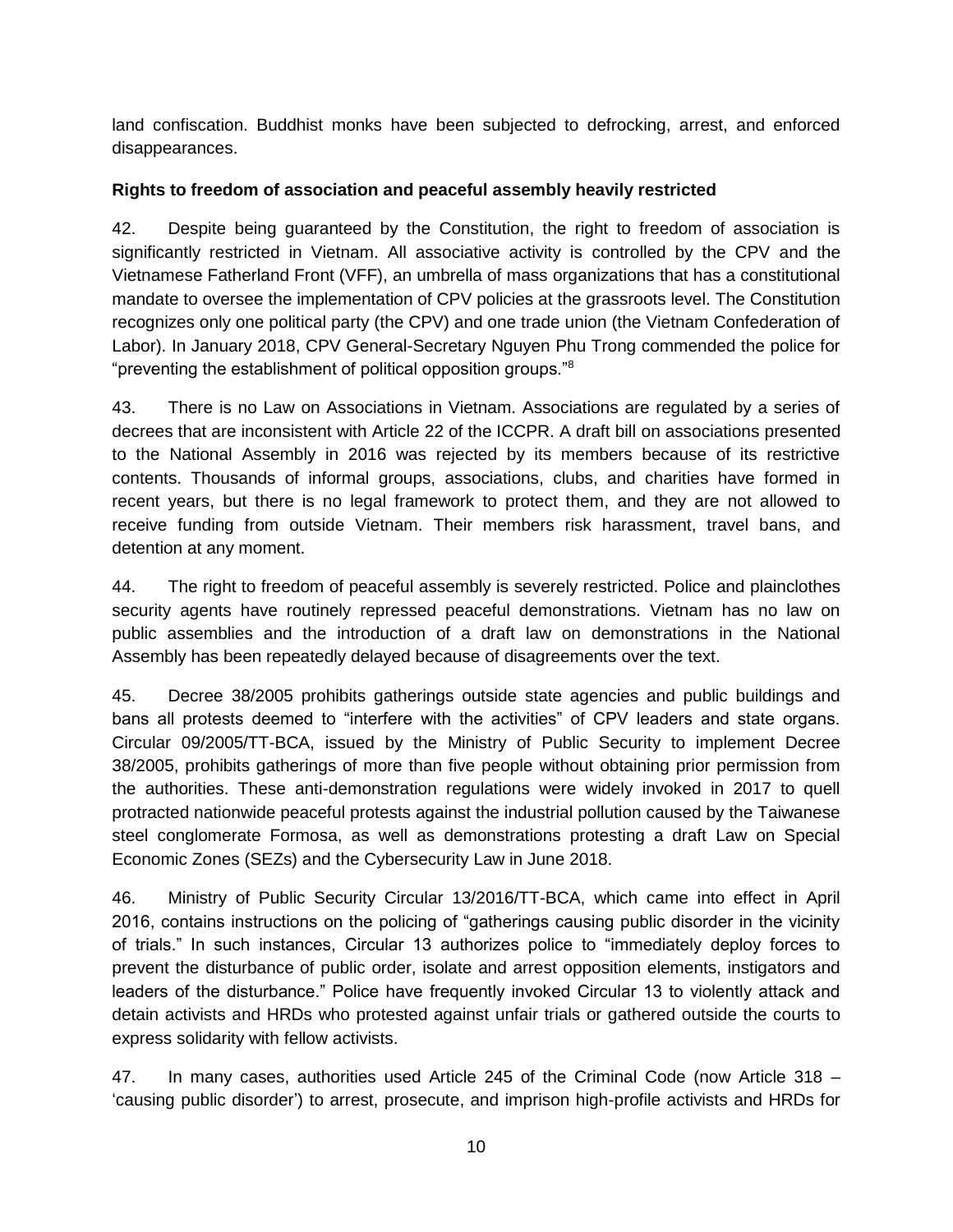land confiscation. Buddhist monks have been subjected to defrocking, arrest, and enforced disappearances.

## **Rights to freedom of association and peaceful assembly heavily restricted**

42. Despite being guaranteed by the Constitution, the right to freedom of association is significantly restricted in Vietnam. All associative activity is controlled by the CPV and the Vietnamese Fatherland Front (VFF), an umbrella of mass organizations that has a constitutional mandate to oversee the implementation of CPV policies at the grassroots level. The Constitution recognizes only one political party (the CPV) and one trade union (the Vietnam Confederation of Labor). In January 2018, CPV General-Secretary Nguyen Phu Trong commended the police for "preventing the establishment of political opposition groups."<sup>8</sup>

43. There is no Law on Associations in Vietnam. Associations are regulated by a series of decrees that are inconsistent with Article 22 of the ICCPR. A draft bill on associations presented to the National Assembly in 2016 was rejected by its members because of its restrictive contents. Thousands of informal groups, associations, clubs, and charities have formed in recent years, but there is no legal framework to protect them, and they are not allowed to receive funding from outside Vietnam. Their members risk harassment, travel bans, and detention at any moment.

44. The right to freedom of peaceful assembly is severely restricted. Police and plainclothes security agents have routinely repressed peaceful demonstrations. Vietnam has no law on public assemblies and the introduction of a draft law on demonstrations in the National Assembly has been repeatedly delayed because of disagreements over the text.

45. Decree 38/2005 prohibits gatherings outside state agencies and public buildings and bans all protests deemed to "interfere with the activities" of CPV leaders and state organs. Circular 09/2005/TT-BCA, issued by the Ministry of Public Security to implement Decree 38/2005, prohibits gatherings of more than five people without obtaining prior permission from the authorities. These anti-demonstration regulations were widely invoked in 2017 to quell protracted nationwide peaceful protests against the industrial pollution caused by the Taiwanese steel conglomerate Formosa, as well as demonstrations protesting a draft Law on Special Economic Zones (SEZs) and the Cybersecurity Law in June 2018.

46. Ministry of Public Security Circular 13/2016/TT-BCA, which came into effect in April 2016, contains instructions on the policing of "gatherings causing public disorder in the vicinity of trials." In such instances, Circular 13 authorizes police to "immediately deploy forces to prevent the disturbance of public order, isolate and arrest opposition elements, instigators and leaders of the disturbance." Police have frequently invoked Circular 13 to violently attack and detain activists and HRDs who protested against unfair trials or gathered outside the courts to express solidarity with fellow activists.

47. In many cases, authorities used Article 245 of the Criminal Code (now Article 318 – 'causing public disorder') to arrest, prosecute, and imprison high-profile activists and HRDs for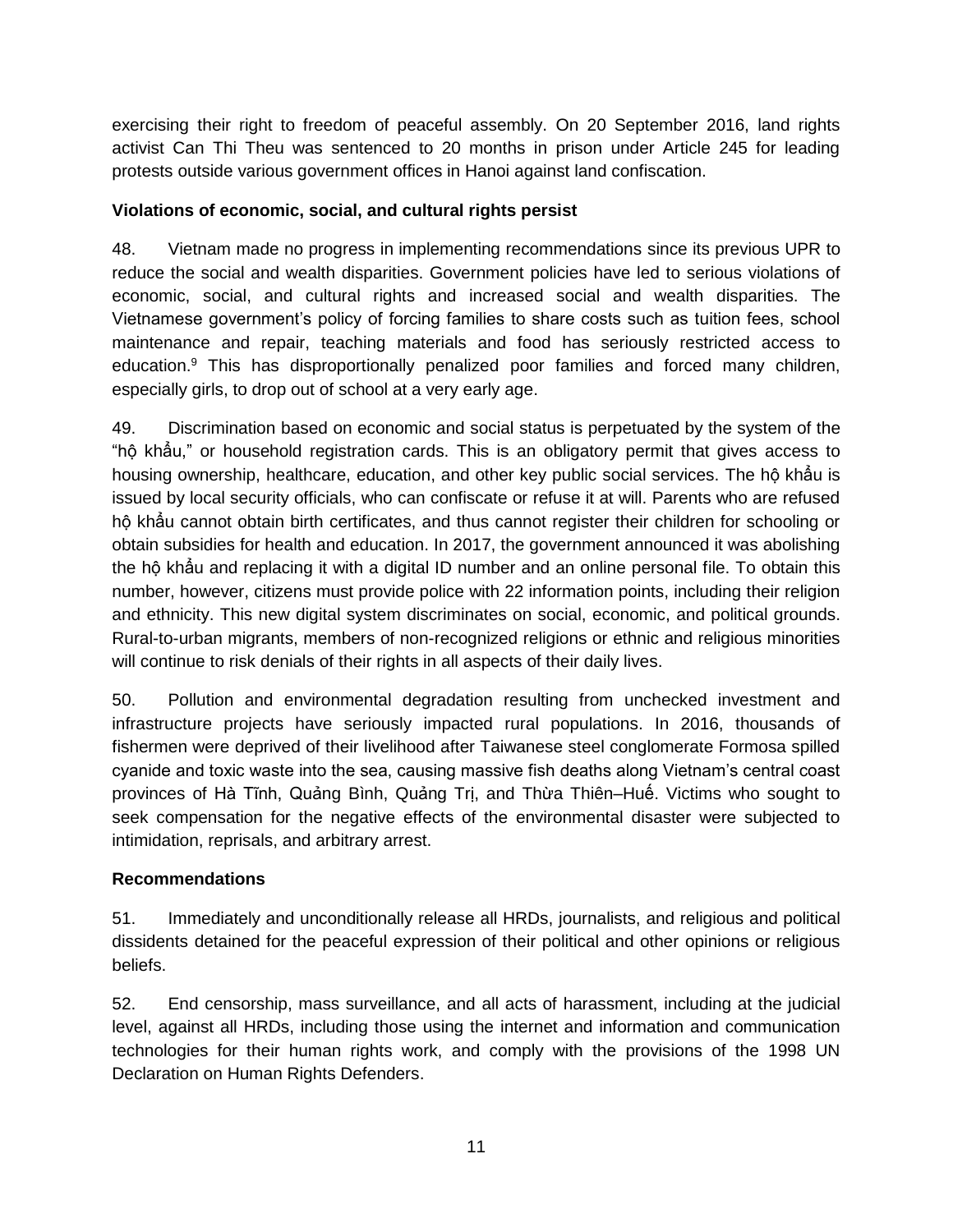exercising their right to freedom of peaceful assembly. On 20 September 2016, land rights activist Can Thi Theu was sentenced to 20 months in prison under Article 245 for leading protests outside various government offices in Hanoi against land confiscation.

## **Violations of economic, social, and cultural rights persist**

48. Vietnam made no progress in implementing recommendations since its previous UPR to reduce the social and wealth disparities. Government policies have led to serious violations of economic, social, and cultural rights and increased social and wealth disparities. The Vietnamese government's policy of forcing families to share costs such as tuition fees, school maintenance and repair, teaching materials and food has seriously restricted access to education.<sup>9</sup> This has disproportionally penalized poor families and forced many children, especially girls, to drop out of school at a very early age.

49. Discrimination based on economic and social status is perpetuated by the system of the "hộ khẩu," or household registration cards. This is an obligatory permit that gives access to housing ownership, healthcare, education, and other key public social services. The hộ khẩu is issued by local security officials, who can confiscate or refuse it at will. Parents who are refused hộ khẩu cannot obtain birth certificates, and thus cannot register their children for schooling or obtain subsidies for health and education. In 2017, the government announced it was abolishing the hộ khẩu and replacing it with a digital ID number and an online personal file. To obtain this number, however, citizens must provide police with 22 information points, including their religion and ethnicity. This new digital system discriminates on social, economic, and political grounds. Rural-to-urban migrants, members of non-recognized religions or ethnic and religious minorities will continue to risk denials of their rights in all aspects of their daily lives.

50. Pollution and environmental degradation resulting from unchecked investment and infrastructure projects have seriously impacted rural populations. In 2016, thousands of fishermen were deprived of their livelihood after Taiwanese steel conglomerate Formosa spilled cyanide and toxic waste into the sea, causing massive fish deaths along Vietnam's central coast provinces of Hà Tĩnh, Quảng Bình, Quảng Trị, and Thừa Thiên–Huế. Victims who sought to seek compensation for the negative effects of the environmental disaster were subjected to intimidation, reprisals, and arbitrary arrest.

#### **Recommendations**

51. Immediately and unconditionally release all HRDs, journalists, and religious and political dissidents detained for the peaceful expression of their political and other opinions or religious beliefs.

52. End censorship, mass surveillance, and all acts of harassment, including at the judicial level, against all HRDs, including those using the internet and information and communication technologies for their human rights work, and comply with the provisions of the 1998 UN Declaration on Human Rights Defenders.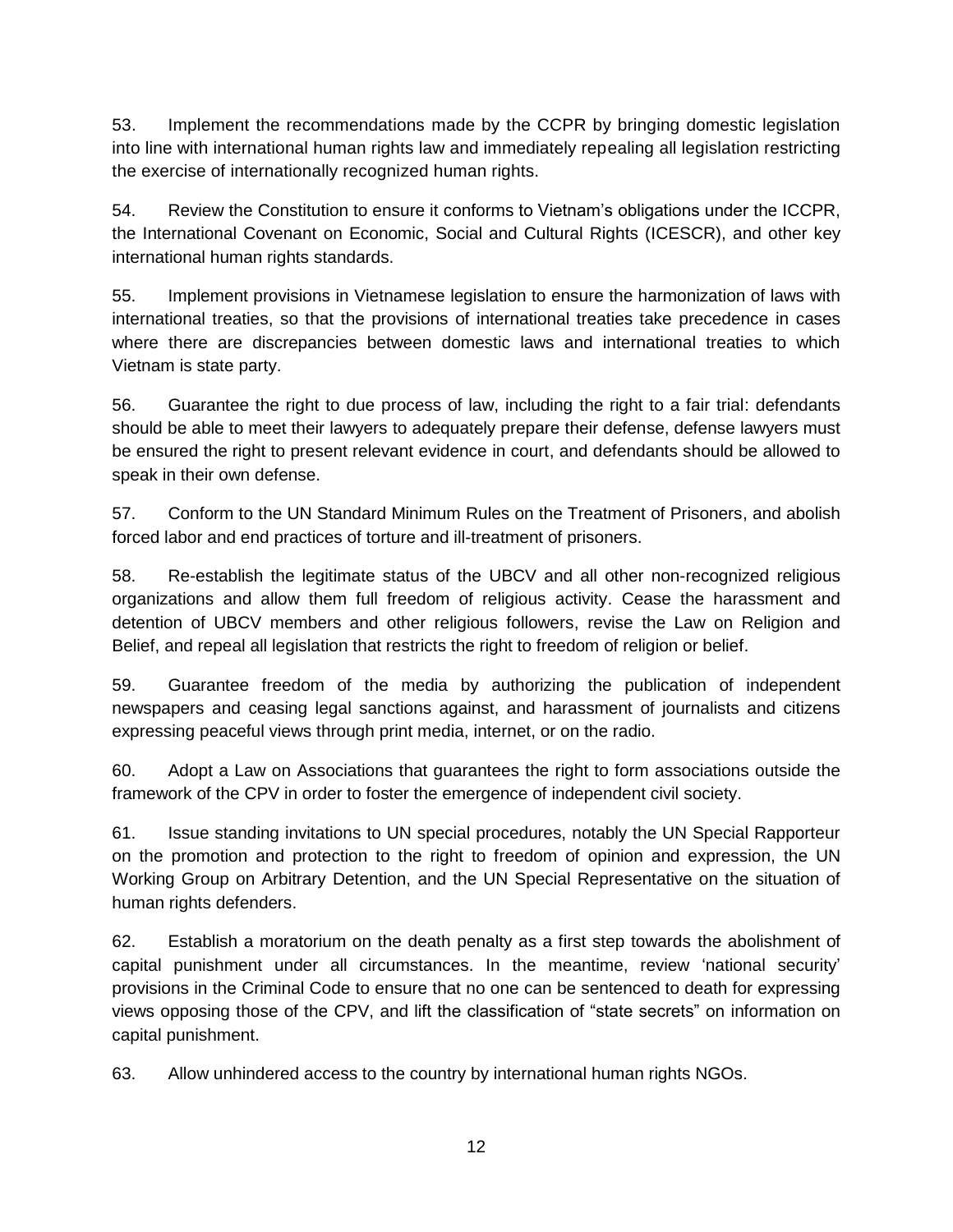53. Implement the recommendations made by the CCPR by bringing domestic legislation into line with international human rights law and immediately repealing all legislation restricting the exercise of internationally recognized human rights.

54. Review the Constitution to ensure it conforms to Vietnam's obligations under the ICCPR, the International Covenant on Economic, Social and Cultural Rights (ICESCR), and other key international human rights standards.

55. Implement provisions in Vietnamese legislation to ensure the harmonization of laws with international treaties, so that the provisions of international treaties take precedence in cases where there are discrepancies between domestic laws and international treaties to which Vietnam is state party.

56. Guarantee the right to due process of law, including the right to a fair trial: defendants should be able to meet their lawyers to adequately prepare their defense, defense lawyers must be ensured the right to present relevant evidence in court, and defendants should be allowed to speak in their own defense.

57. Conform to the UN Standard Minimum Rules on the Treatment of Prisoners, and abolish forced labor and end practices of torture and ill-treatment of prisoners.

58. Re-establish the legitimate status of the UBCV and all other non-recognized religious organizations and allow them full freedom of religious activity. Cease the harassment and detention of UBCV members and other religious followers, revise the Law on Religion and Belief, and repeal all legislation that restricts the right to freedom of religion or belief.

59. Guarantee freedom of the media by authorizing the publication of independent newspapers and ceasing legal sanctions against, and harassment of journalists and citizens expressing peaceful views through print media, internet, or on the radio.

60. Adopt a Law on Associations that guarantees the right to form associations outside the framework of the CPV in order to foster the emergence of independent civil society.

61. Issue standing invitations to UN special procedures, notably the UN Special Rapporteur on the promotion and protection to the right to freedom of opinion and expression, the UN Working Group on Arbitrary Detention, and the UN Special Representative on the situation of human rights defenders.

62. Establish a moratorium on the death penalty as a first step towards the abolishment of capital punishment under all circumstances. In the meantime, review 'national security' provisions in the Criminal Code to ensure that no one can be sentenced to death for expressing views opposing those of the CPV, and lift the classification of "state secrets" on information on capital punishment.

63. Allow unhindered access to the country by international human rights NGOs.